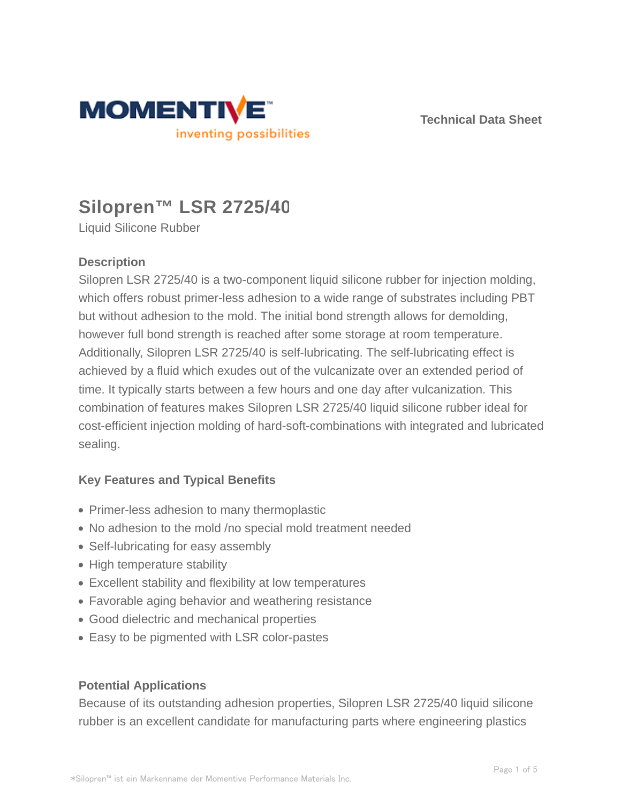



# **Silopren™ LSR 2725/40**

Liquid Silicone Rubber

# **Description**

Silopren LSR 2725/40 is a two-component liquid silicone rubber for injection molding, which offers robust primer-less adhesion to a wide range of substrates including PBT but without adhesion to the mold. The initial bond strength allows for demolding, however full bond strength is reached after some storage at room temperature. Additionally, Silopren LSR 2725/40 is self-lubricating. The self-lubricating effect is achieved by a fluid which exudes out of the vulcanizate over an extended period of time. It typically starts between a few hours and one day after vulcanization. This combination of features makes Silopren LSR 2725/40 liquid silicone rubber ideal for cost-efficient injection molding of hard-soft-combinations with integrated and lubricated sealing.

# **Key Features and Typical Benefits**

- Primer-less adhesion to many thermoplastic
- No adhesion to the mold /no special mold treatment needed
- Self-lubricating for easy assembly
- High temperature stability
- Excellent stability and flexibility at low temperatures
- Favorable aging behavior and weathering resistance
- Good dielectric and mechanical properties
- Easy to be pigmented with LSR color-pastes

#### **Potential Applications**

Because of its outstanding adhesion properties, Silopren LSR 2725/40 liquid silicone rubber is an excellent candidate for manufacturing parts where engineering plastics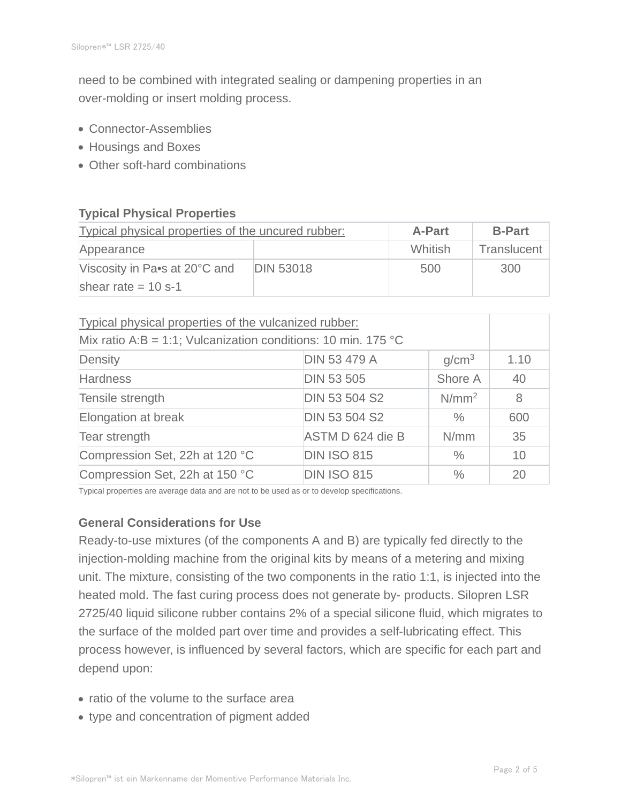need to be combined with integrated sealing or dampening properties in an over-molding or insert molding process.

- Connector-Assemblies
- Housings and Boxes
- Other soft-hard combinations

# **Typical Physical Properties**

| Typical physical properties of the uncured rubber: |                  | <b>A-Part</b> | <b>B-Part</b> |
|----------------------------------------------------|------------------|---------------|---------------|
| Appearance                                         |                  | Whitish       | Translucent   |
| Viscosity in Pa•s at 20°C and                      | <b>DIN 53018</b> | 500           | 300           |
| shear rate $= 10$ s-1                              |                  |               |               |

| Typical physical properties of the vulcanized rubber:         |                      |                   |         |  |
|---------------------------------------------------------------|----------------------|-------------------|---------|--|
| Mix ratio A:B = 1:1; Vulcanization conditions: 10 min. 175 °C |                      |                   |         |  |
| Density                                                       | <b>DIN 53 479 A</b>  | g/cm <sup>3</sup> | 1.10    |  |
| <b>Hardness</b>                                               | <b>DIN 53 505</b>    | Shore A           | 40      |  |
| Tensile strength                                              | <b>DIN 53 504 S2</b> | N/mm <sup>2</sup> | $\,8\,$ |  |
| Elongation at break                                           | <b>DIN 53 504 S2</b> | $\%$              | 600     |  |
| Tear strength                                                 | ASTM D 624 die B     | N/mm              | 35      |  |
| Compression Set, 22h at 120 °C                                | <b>DIN ISO 815</b>   | $\%$              | 10      |  |
| Compression Set, 22h at 150 °C                                | <b>DIN ISO 815</b>   | $\frac{0}{0}$     | 20      |  |

Typical properties are average data and are not to be used as or to develop specifications.

# **General Considerations for Use**

Ready-to-use mixtures (of the components A and B) are typically fed directly to the injection-molding machine from the original kits by means of a metering and mixing unit. The mixture, consisting of the two components in the ratio 1:1, is injected into the heated mold. The fast curing process does not generate by- products. Silopren LSR 2725/40 liquid silicone rubber contains 2% of a special silicone fluid, which migrates to the surface of the molded part over time and provides a self-lubricating effect. This process however, is influenced by several factors, which are specific for each part and depend upon:

- ratio of the volume to the surface area
- type and concentration of pigment added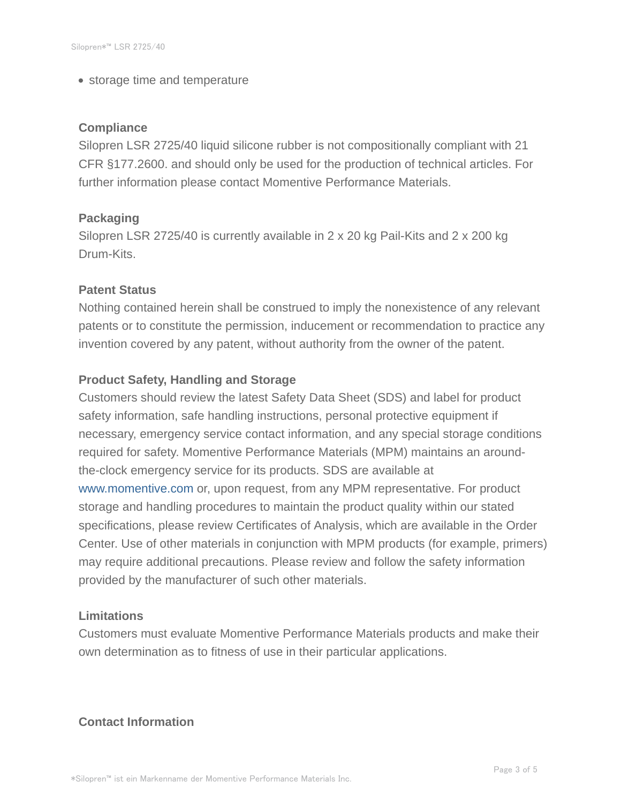• storage time and temperature

#### **Compliance**

Silopren LSR 2725/40 liquid silicone rubber is not compositionally compliant with 21 CFR §177.2600. and should only be used for the production of technical articles. For further information please contact Momentive Performance Materials.

#### **Packaging**

Silopren LSR 2725/40 is currently available in 2 x 20 kg Pail-Kits and 2 x 200 kg Drum-Kits.

#### **Patent Status**

Nothing contained herein shall be construed to imply the nonexistence of any relevant patents or to constitute the permission, inducement or recommendation to practice any invention covered by any patent, without authority from the owner of the patent.

#### **Product Safety, Handling and Storage**

Customers should review the latest Safety Data Sheet (SDS) and label for product safety information, safe handling instructions, personal protective equipment if necessary, emergency service contact information, and any special storage conditions required for safety. Momentive Performance Materials (MPM) maintains an aroundthe-clock emergency service for its products. SDS are available at www.momentive.com or, upon request, from any MPM representative. For product storage and handling procedures to maintain the product quality within our stated specifications, please review Certificates of Analysis, which are available in the Order Center. Use of other materials in conjunction with MPM products (for example, primers) may require additional precautions. Please review and follow the safety information provided by the manufacturer of such other materials.

#### **Limitations**

Customers must evaluate Momentive Performance Materials products and make their own determination as to fitness of use in their particular applications.

### **Contact Information**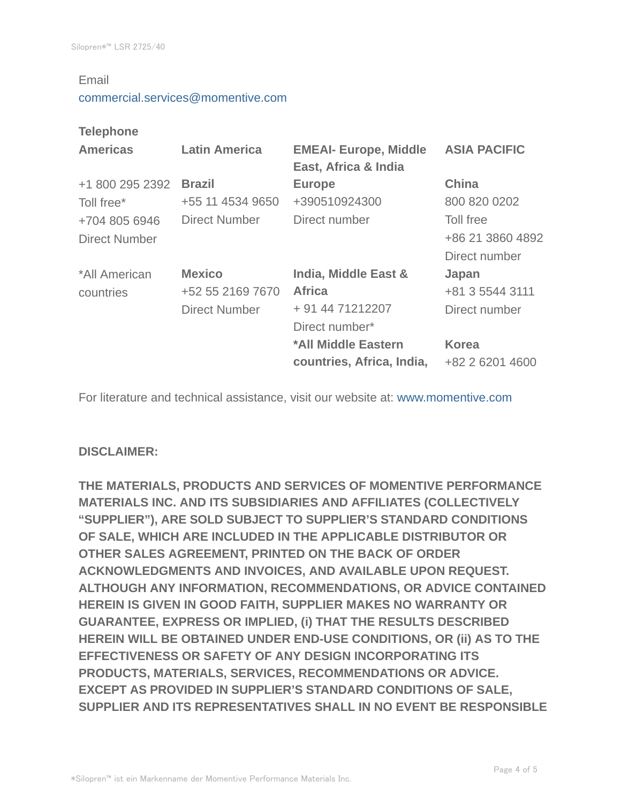#### Email

#### commercial.services@momentive.com

#### **Telephone**

| <b>Americas</b> | <b>Latin America</b> | <b>EMEAI- Europe, Middle</b><br>East, Africa & India | <b>ASIA PACIFIC</b> |
|-----------------|----------------------|------------------------------------------------------|---------------------|
| +1 800 295 2392 | <b>Brazil</b>        | <b>Europe</b>                                        | <b>China</b>        |
| Toll free*      | +55 11 4534 9650     | +390510924300                                        | 800 820 0202        |
| +704 805 6946   | <b>Direct Number</b> | Direct number                                        | Toll free           |
| Direct Number   |                      |                                                      | +86 21 3860 4892    |
|                 |                      |                                                      | Direct number       |
| *All American   | <b>Mexico</b>        | India, Middle East &                                 | Japan               |
| countries       | +52 55 2169 7670     | <b>Africa</b>                                        | +81 3 5544 3111     |
|                 | <b>Direct Number</b> | + 91 44 71212207                                     | Direct number       |
|                 |                      | Direct number*                                       |                     |
|                 |                      | *All Middle Eastern                                  | <b>Korea</b>        |
|                 |                      | countries, Africa, India,                            | +82 2 6201 4600     |

For literature and technical assistance, visit our website at: www.momentive.com

#### **DISCLAIMER:**

**THE MATERIALS, PRODUCTS AND SERVICES OF MOMENTIVE PERFORMANCE MATERIALS INC. AND ITS SUBSIDIARIES AND AFFILIATES (COLLECTIVELY "SUPPLIER"), ARE SOLD SUBJECT TO SUPPLIER'S STANDARD CONDITIONS OF SALE, WHICH ARE INCLUDED IN THE APPLICABLE DISTRIBUTOR OR OTHER SALES AGREEMENT, PRINTED ON THE BACK OF ORDER ACKNOWLEDGMENTS AND INVOICES, AND AVAILABLE UPON REQUEST. ALTHOUGH ANY INFORMATION, RECOMMENDATIONS, OR ADVICE CONTAINED HEREIN IS GIVEN IN GOOD FAITH, SUPPLIER MAKES NO WARRANTY OR GUARANTEE, EXPRESS OR IMPLIED, (i) THAT THE RESULTS DESCRIBED HEREIN WILL BE OBTAINED UNDER END-USE CONDITIONS, OR (ii) AS TO THE EFFECTIVENESS OR SAFETY OF ANY DESIGN INCORPORATING ITS PRODUCTS, MATERIALS, SERVICES, RECOMMENDATIONS OR ADVICE. EXCEPT AS PROVIDED IN SUPPLIER'S STANDARD CONDITIONS OF SALE, SUPPLIER AND ITS REPRESENTATIVES SHALL IN NO EVENT BE RESPONSIBLE**